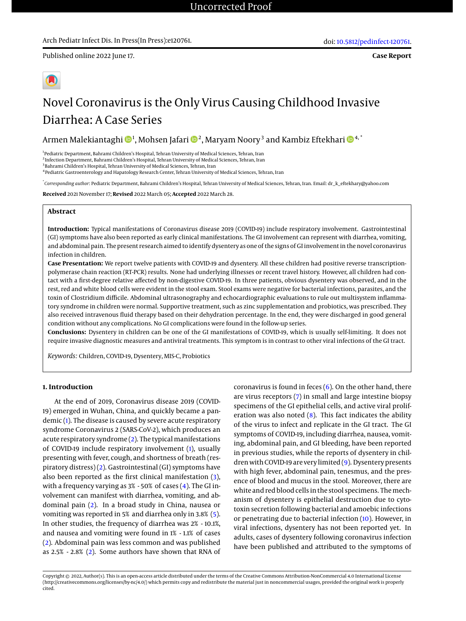Published online 2022 June 17.

# Novel Coronavirus is the Only Virus Causing Childhood Invasive Diarrhea: A Case Series

Armen Malekiantaghi �� 1, Mohsen Jafari �� 2, Maryam Noory  $^3$  and Kambiz Eftekhari �� 4,  $^\ast$ 

<sup>1</sup> Pediatric Department, Bahrami Children's Hospital, Tehran University of Medical Sciences, Tehran, Iran 2 Infection Department, Bahrami Children's Hospital, Tehran University of Medical Sciences, Tehran, Iran <sup>3</sup>Bahrami Children's Hospital, Tehran University of Medical Sciences, Tehran, Iran 4 Pediatric Gastroenterology and Hapatology Research Center, Tehran University of Medical Sciences, Tehran, Iran

\* *Corresponding author*: Pediatric Department, Bahrami Children's Hospital, Tehran University of Medical Sciences, Tehran, Iran. Email: dr\_k\_eftekhary@yahoo.com

**Received** 2021 November 17; **Revised** 2022 March 05; **Accepted** 2022 March 28.

## **Abstract**

**Introduction:** Typical manifestations of Coronavirus disease 2019 (COVID-19) include respiratory involvement. Gastrointestinal (GI) symptoms have also been reported as early clinical manifestations. The GI involvement can represent with diarrhea, vomiting, and abdominal pain. The present research aimed to identify dysentery as one of the signs of GI involvement in the novel coronavirus infection in children.

**Case Presentation:** We report twelve patients with COVID-19 and dysentery. All these children had positive reverse transcriptionpolymerase chain reaction (RT-PCR) results. None had underlying illnesses or recent travel history. However, all children had contact with a first-degree relative affected by non-digestive COVID-19. In three patients, obvious dysentery was observed, and in the rest, red and white blood cells were evident in the stool exam. Stool exams were negative for bacterial infections, parasites, and the toxin of Clostridium difficile. Abdominal ultrasonography and echocardiographic evaluations to rule out multisystem inflammatory syndrome in children were normal. Supportive treatment, such as zinc supplementation and probiotics, was prescribed. They also received intravenous fluid therapy based on their dehydration percentage. In the end, they were discharged in good general condition without any complications. No GI complications were found in the follow-up series.

**Conclusions:** Dysentery in children can be one of the GI manifestations of COVID-19, which is usually self-limiting. It does not require invasive diagnostic measures and antiviral treatments. This symptom is in contrast to other viral infections of the GI tract.

*Keywords:* Children, COVID-19, Dysentery, MIS-C, Probiotics

# **1. Introduction**

At the end of 2019, Coronavirus disease 2019 (COVID-19) emerged in Wuhan, China, and quickly became a pandemic [\(1\)](#page-2-0). The disease is caused by severe acute respiratory syndrome Coronavirus 2 (SARS-CoV-2), which produces an acute respiratory syndrome [\(2\)](#page-2-1). The typical manifestations of COVID-19 include respiratory involvement [\(1\)](#page-2-0), usually presenting with fever, cough, and shortness of breath (respiratory distress) [\(2\)](#page-2-1). Gastrointestinal (GI) symptoms have also been reported as the first clinical manifestation [\(3\)](#page-2-2), with a frequency varying as 3% - 50% of cases [\(4\)](#page-2-3). The GI involvement can manifest with diarrhea, vomiting, and abdominal pain [\(2\)](#page-2-1). In a broad study in China, nausea or vomiting was reported in 5% and diarrhea only in 3.8% [\(5\)](#page-2-4). In other studies, the frequency of diarrhea was 2% - 10.1%, and nausea and vomiting were found in 1% - 1.1% of cases [\(2\)](#page-2-1). Abdominal pain was less common and was published as 2.5% - 2.8% [\(2\)](#page-2-1). Some authors have shown that RNA of

coronavirus is found in feces  $(6)$ . On the other hand, there are virus receptors [\(7\)](#page-3-0) in small and large intestine biopsy specimens of the GI epithelial cells, and active viral proliferation was also noted [\(8\)](#page-3-1). This fact indicates the ability of the virus to infect and replicate in the GI tract. The GI symptoms of COVID-19, including diarrhea, nausea, vomiting, abdominal pain, and GI bleeding, have been reported in previous studies, while the reports of dysentery in children with COVID-19 are very limited [\(9\)](#page-3-2). Dysentery presents with high fever, abdominal pain, tenesmus, and the presence of blood and mucus in the stool. Moreover, there are white and red blood cells in the stool specimens. The mechanism of dysentery is epithelial destruction due to cytotoxin secretion following bacterial and amoebic infections or penetrating due to bacterial infection [\(10\)](#page-3-3). However, in viral infections, dysentery has not been reported yet. In adults, cases of dysentery following coronavirus infection have been published and attributed to the symptoms of

Copyright © 2022, Author(s). This is an open-access article distributed under the terms of the Creative Commons Attribution-NonCommercial 4.0 International License (http://creativecommons.org/licenses/by-nc/4.0/) which permits copy and redistribute the material just in noncommercial usages, provided the original work is properly cited.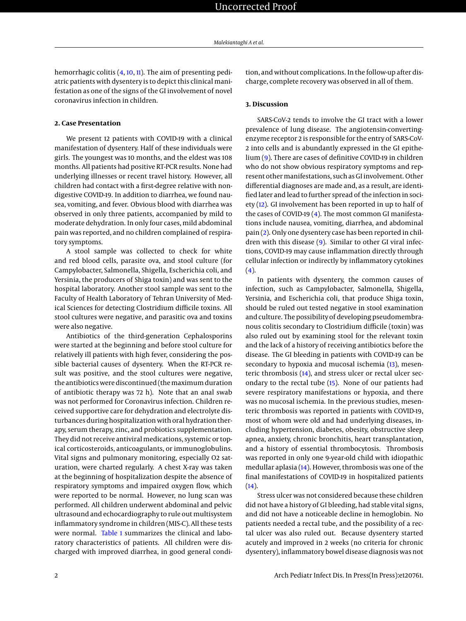hemorrhagic colitis [\(4,](#page-2-3) [10,](#page-3-3) [11\)](#page-3-4). The aim of presenting pediatric patients with dysentery is to depict this clinical manifestation as one of the signs of the GI involvement of novel coronavirus infection in children.

#### **2. Case Presentation**

We present 12 patients with COVID-19 with a clinical manifestation of dysentery. Half of these individuals were girls. The youngest was 10 months, and the eldest was 108 months. All patients had positive RT-PCR results. None had underlying illnesses or recent travel history. However, all children had contact with a first-degree relative with nondigestive COVID-19. In addition to diarrhea, we found nausea, vomiting, and fever. Obvious blood with diarrhea was observed in only three patients, accompanied by mild to moderate dehydration. In only four cases, mild abdominal pain was reported, and no children complained of respiratory symptoms.

A stool sample was collected to check for white and red blood cells, parasite ova, and stool culture (for Campylobacter, Salmonella, Shigella, Escherichia coli, and Yersinia, the producers of Shiga toxin) and was sent to the hospital laboratory. Another stool sample was sent to the Faculty of Health Laboratory of Tehran University of Medical Sciences for detecting Clostridium difficile toxins. All stool cultures were negative, and parasitic ova and toxins were also negative.

Antibiotics of the third-generation Cephalosporins were started at the beginning and before stool culture for relatively ill patients with high fever, considering the possible bacterial causes of dysentery. When the RT-PCR result was positive, and the stool cultures were negative, the antibiotics were discontinued (themaximum duration of antibiotic therapy was 72 h). Note that an anal swab was not performed for Coronavirus infection. Children received supportive care for dehydration and electrolyte disturbances during hospitalization with oral hydration therapy, serum therapy, zinc, and probiotics supplementation. They did not receive antiviral medications, systemic or topical corticosteroids, anticoagulants, or immunoglobulins. Vital signs and pulmonary monitoring, especially O2 saturation, were charted regularly. A chest X-ray was taken at the beginning of hospitalization despite the absence of respiratory symptoms and impaired oxygen flow, which were reported to be normal. However, no lung scan was performed. All children underwent abdominal and pelvic ultrasound and echocardiography to rule out multisystem inflammatory syndrome in children (MIS-C). All these tests were normal. [Table 1](#page-2-6) summarizes the clinical and laboratory characteristics of patients. All children were discharged with improved diarrhea, in good general condition, and without complications. In the follow-up after discharge, complete recovery was observed in all of them.

#### **3. Discussion**

SARS-CoV-2 tends to involve the GI tract with a lower prevalence of lung disease. The angiotensin-convertingenzyme receptor 2 is responsible for the entry of SARS-CoV-2 into cells and is abundantly expressed in the GI epithelium [\(9\)](#page-3-2). There are cases of definitive COVID-19 in children who do not show obvious respiratory symptoms and represent other manifestations, such as GI involvement. Other differential diagnoses are made and, as a result, are identified later and lead to further spread of the infection in society [\(12\)](#page-3-5). GI involvement has been reported in up to half of the cases of COVID-19 [\(4\)](#page-2-3). The most common GI manifestations include nausea, vomiting, diarrhea, and abdominal pain [\(2\)](#page-2-1). Only one dysentery case has been reported in children with this disease [\(9\)](#page-3-2). Similar to other GI viral infections, COVID-19 may cause inflammation directly through cellular infection or indirectly by inflammatory cytokines [\(4\)](#page-2-3).

In patients with dysentery, the common causes of infection, such as Campylobacter, Salmonella, Shigella, Yersinia, and Escherichia coli, that produce Shiga toxin, should be ruled out tested negative in stool examination and culture. The possibility of developing pseudomembranous colitis secondary to Clostridium difficile (toxin) was also ruled out by examining stool for the relevant toxin and the lack of a history of receiving antibiotics before the disease. The GI bleeding in patients with COVID-19 can be secondary to hypoxia and mucosal ischemia [\(13\)](#page-3-6), mesenteric thrombosis [\(14\)](#page-3-7), and stress ulcer or rectal ulcer secondary to the rectal tube [\(15\)](#page-3-8). None of our patients had severe respiratory manifestations or hypoxia, and there was no mucosal ischemia. In the previous studies, mesenteric thrombosis was reported in patients with COVID-19, most of whom were old and had underlying diseases, including hypertension, diabetes, obesity, obstructive sleep apnea, anxiety, chronic bronchitis, heart transplantation, and a history of essential thrombocytosis. Thrombosis was reported in only one 9-year-old child with idiopathic medullar aplasia [\(14\)](#page-3-7). However, thrombosis was one of the final manifestations of COVID-19 in hospitalized patients  $(14).$  $(14).$ 

Stress ulcer was not considered because these children did not have a history of GI bleeding, had stable vital signs, and did not have a noticeable decline in hemoglobin. No patients needed a rectal tube, and the possibility of a rectal ulcer was also ruled out. Because dysentery started acutely and improved in 2 weeks (no criteria for chronic dysentery), inflammatory bowel disease diagnosis was not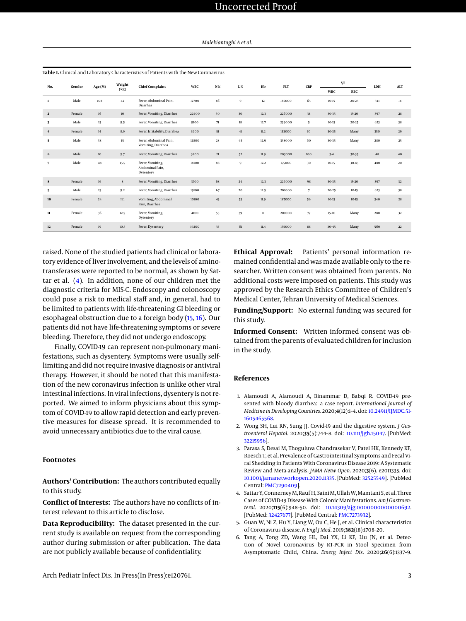<span id="page-2-6"></span>

| Table 1. Clinical and Laboratory Characteristics of Patients with the New Coronavirus |        |         |                |                                                  |            |             |             |        |        |                  |            |            |     |            |
|---------------------------------------------------------------------------------------|--------|---------|----------------|--------------------------------------------------|------------|-------------|-------------|--------|--------|------------------|------------|------------|-----|------------|
| No.                                                                                   | Gender | Age (M) | Weight<br>(kg) | <b>Chief Complaint</b>                           | <b>WBC</b> | ${\bf N}$ % | ${\bf L}$ % | Hb     | PLT    | <b>CRP</b>       | S/E        |            | LDH | <b>ALT</b> |
|                                                                                       |        |         |                |                                                  |            |             |             |        |        |                  | <b>WBC</b> | <b>RBC</b> |     |            |
| 1                                                                                     | Male   | 108     | 42             | Fever, Abdominal Pain,<br>Diarrhea               | 12700      | 86          | 9           | $12\,$ | 185000 | 65               | $10 - 15$  | $20 - 25$  | 341 | 14         |
| $\overline{\mathbf{2}}$                                                               | Female | 16      | 10             | Fever, Vomiting, Diarrhea                        | 22400      | 50          | 30          | 12.3   | 226000 | 38               | 30-35      | $15 - 20$  | 397 | 28         |
| 3                                                                                     | Male   | 15      | 9.5            | Fever, Vomiting, Diarrhea                        | 9100       | 71          | 18          | 12.7   | 239000 | 5                | $10-15$    | $20 - 25$  | 623 | 38         |
| $\overline{\mathbf{4}}$                                                               | Female | 14      | 8.9            | Fever, Irritability, Diarrhea                    | 3900       | 51          | 41          | 11.2   | 153000 | 10 <sup>10</sup> | 30-35      | Many       | 350 | 29         |
| 5                                                                                     | Male   | 38      | 15             | Fever, Abdominal Pain,<br>Vomiting, Diarrhea     | 12800      | 28          | 45          | 12.9   | 338000 | 60               | 30-35      | Many       | 280 | 25         |
| 6                                                                                     | Male   | $10\,$  | 9.7            | Fever, Vomiting, Diarrhea                        | 3800       | 21          | 52          | 11.9   | 203000 | 100              | $3 - 4$    | $30 - 35$  | 48  | 40         |
| 7                                                                                     | Male   | 48      | 15.5           | Fever, Vomiting,<br>Abdominal Pain.<br>Dysentery | 18100      | 88          | 9           | 12.2   | 175000 | 30               | $10 - 15$  | 30-45      | 480 | 20         |
| 8                                                                                     | Female | 16      | $\bf8$         | Fever, Vomiting, Diarrhea                        | 3700       | 68          | 24          | 12.3   | 226000 | 98               | 30-35      | $15 - 20$  | 397 | 32         |
| 9                                                                                     | Male   | 15      | 9.2            | Fever, Vomiting, Diarrhea                        | 19100      | 67          | 20          | 12.5   | 210000 | $\overline{7}$   | $20 - 25$  | $10 - 15$  | 623 | 38         |
| 10                                                                                    | Female | 24      | 11.1           | Vomiting, Abdominal<br>Pain, Diarrhea            | 10100      | 43          | 53          | 11.9   | 187000 | 56               | $10-15$    | $10 - 15$  | 340 | 28         |
| 11                                                                                    | Female | 36      | 12.5           | Fever, Vomiting,<br>Dysentery                    | 4100       | 55          | 39          | $11\,$ | 210000 | 77               | $15 - 20$  | Many       | 280 | 32         |
| 12                                                                                    | Female | 19      | 10.5           | Fever, Dysentery                                 | 19200      | 35          | 61          | 11.4   | 155000 | 88               | $30 - 45$  | Many       | 560 | 22         |

raised. None of the studied patients had clinical or laboratory evidence of liver involvement, and the levels of aminotransferases were reported to be normal, as shown by Sattar et al. [\(4\)](#page-2-3). In addition, none of our children met the diagnostic criteria for MIS-C. Endoscopy and colonoscopy could pose a risk to medical staff and, in general, had to be limited to patients with life-threatening GI bleeding or esophageal obstruction due to a foreign body [\(15,](#page-3-8) [16\)](#page-3-9). Our patients did not have life-threatening symptoms or severe bleeding. Therefore, they did not undergo endoscopy.

Finally, COVID-19 can represent non-pulmonary manifestations, such as dysentery. Symptoms were usually selflimiting and did not require invasive diagnosis or antiviral therapy. However, it should be noted that this manifestation of the new coronavirus infection is unlike other viral intestinal infections. In viral infections, dysentery is not reported. We aimed to inform physicians about this symptom of COVID-19 to allow rapid detection and early preventive measures for disease spread. It is recommended to avoid unnecessary antibiotics due to the viral cause.

### **Footnotes**

**Authors' Contribution:** The authors contributed equally to this study.

**Conflict of Interests:** The authors have no conflicts of interest relevant to this article to disclose.

**Data Reproducibility:** The dataset presented in the current study is available on request from the corresponding author during submission or after publication. The data are not publicly available because of confidentiality.

Arch Pediatr Infect Dis. In Press(In Press):e120761. 3

**Ethical Approval:** Patients' personal information remained confidential and was made available only to the researcher. Written consent was obtained from parents. No additional costs were imposed on patients. This study was approved by the Research Ethics Committee of Children's Medical Center, Tehran University of Medical Sciences.

**Funding/Support:** No external funding was secured for this study.

**Informed Consent:** Written informed consent was obtained from the parents of evaluated children for inclusion in the study.

#### **References**

- <span id="page-2-0"></span>1. Alamoudi A, Alamoudi A, Binammar D, Babqi R. COVID-19 presented with bloody diarrhea: a case report. *International Journal of Medicine in Developing Countries*. 2020;**4**(12):1–4. doi: [10.24911/IJMDC.51-](http://dx.doi.org/10.24911/IJMDC.51-1605465568) [1605465568.](http://dx.doi.org/10.24911/IJMDC.51-1605465568)
- <span id="page-2-1"></span>2. Wong SH, Lui RN, Sung JJ. Covid-19 and the digestive system. *J Gastroenterol Hepatol*. 2020;**35**(5):744–8. doi: [10.1111/jgh.15047.](http://dx.doi.org/10.1111/jgh.15047) [PubMed: [32215956\]](http://www.ncbi.nlm.nih.gov/pubmed/32215956).
- <span id="page-2-2"></span>3. Parasa S, Desai M, Thoguluva Chandrasekar V, Patel HK, Kennedy KF, Roesch T, et al. Prevalence of Gastrointestinal Symptoms and Fecal Viral Shedding in Patients With Coronavirus Disease 2019: A Systematic Review and Meta-analysis. *JAMA Netw Open*. 2020;**3**(6). e2011335. doi: [10.1001/jamanetworkopen.2020.11335.](http://dx.doi.org/10.1001/jamanetworkopen.2020.11335) [PubMed: [32525549\]](http://www.ncbi.nlm.nih.gov/pubmed/32525549). [PubMed Central: [PMC7290409\]](https://www.ncbi.nlm.nih.gov/pmc/articles/PMC7290409).
- <span id="page-2-3"></span>4. Sattar Y, Connerney M, Rauf H, Saini M, Ullah W, Mamtani S, et al. Three Cases of COVID-19 Disease With Colonic Manifestations. *Am J Gastroenterol*. 2020;**115**(6):948–50. doi: [10.14309/ajg.0000000000000692.](http://dx.doi.org/10.14309/ajg.0000000000000692) [PubMed: [32427677\]](http://www.ncbi.nlm.nih.gov/pubmed/32427677). [PubMed Central: [PMC7273932\]](https://www.ncbi.nlm.nih.gov/pmc/articles/PMC7273932).
- <span id="page-2-4"></span>5. Guan W, Ni Z, Hu Y, Liang W, Ou C, He J, et al. Clinical characteristics of Coronavirus disease. *N Engl J Med*. 2019;**382**(18):1708–20.
- <span id="page-2-5"></span>6. Tang A, Tong ZD, Wang HL, Dai YX, Li KF, Liu JN, et al. Detection of Novel Coronavirus by RT-PCR in Stool Specimen from Asymptomatic Child, China. *Emerg Infect Dis*. 2020;**26**(6):1337–9.